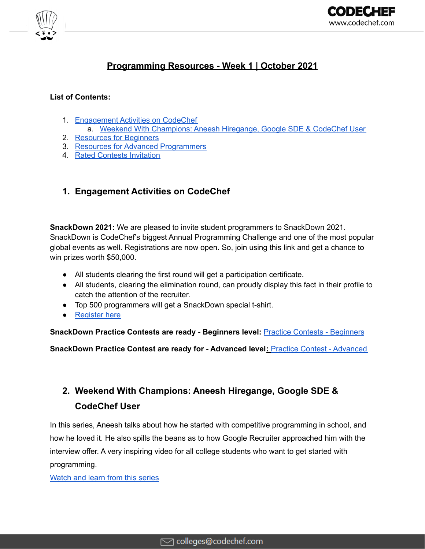



# **Programming Resources - Week 1 | October 2021**

## **List of Contents:**

- 1. [Engagement](#page-0-0) Activities on CodeChef
	- a. Weekend With [Champions:](#page-0-1) Aneesh Hiregange, Google SDE & CodeChef User
- 2. [Resources](#page-1-0) for Beginners
- 3. Resources for Advanced [Programmers](#page-2-0)
- 4. Rated Contests [Invitation](#page-2-1)

## <span id="page-0-0"></span>**1. Engagement Activities on CodeChef**

**SnackDown 2021:** We are pleased to invite student programmers to SnackDown 2021. SnackDown is CodeChef's biggest Annual Programming Challenge and one of the most popular global events as well. Registrations are now open. So, join using this link and get a chance to win prizes worth \$50,000.

- All students clearing the first round will get a participation certificate.
- All students, clearing the elimination round, can proudly display this fact in their profile to catch the attention of the recruiter.
- Top 500 programmers will get a SnackDown special t-shirt.
- [Register](https://snackdown.codechef.com/registration?utm_source=email&utm_medium=outreach&utm_campaign=CC_SnackDown_2021) here

**SnackDown Practice Contests are ready - Beginners level:** Practice Contests - [Beginners](https://www.codechef.com/SDPCB21?utm_source=email&utm_medium=outreach&utm_campaign=CC_SnackDown_2021)

**SnackDown Practice Contest are ready for - Advanced level:** Practice Contest - [Advanced](https://www.codechef.com/SDPCA21?utm_source=email&utm_medium=outreach&utm_campaign=CC_SnackDown_2021)

# <span id="page-0-1"></span>**2. Weekend With Champions: Aneesh Hiregange, Google SDE & CodeChef User**

In this series, Aneesh talks about how he started with competitive programming in school, and how he loved it. He also spills the beans as to how Google Recruiter approached him with the interview offer. A very inspiring video for all college students who want to get started with programming.

[Watch](https://bit.ly/3DdFwen) and learn from this series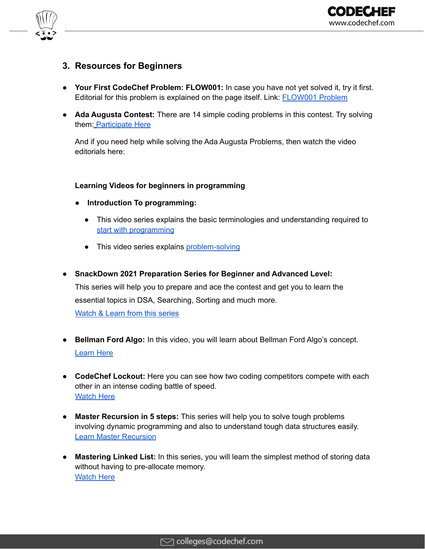

## <span id="page-1-0"></span>**3. Resources for Beginners**

- **Your First CodeChef Problem: FLOW001:** In case you have not yet solved it, try it first. Editorial for this problem is explained on the page itself. Link: **[FLOW001](https://www.codechef.com/problems/FLOW001?utm_source=email&utm_medium=outreach&utm_campaign=CC_Contests) Problem**
- **Ada Augusta Contest:** There are 14 simple coding problems in this contest. Try solving them: [Participate](https://www.codechef.com/CCADAAUG?utm_source=email&utm_medium=outreach&utm_campaign=Augusta) Here

And if you need help while solving the Ada Augusta Problems, then watch the video editorials here:

#### **Learning Videos for beginners in programming**

- **● Introduction To programming:**
	- This video series explains the basic terminologies and understanding required to start with [programming](https://bit.ly/3tgb4KR)
	- This video series explains [problem-solving](https://bit.ly/3kTI1ft)
- **● SnackDown 2021 Preparation Series for Beginner and Advanced Level:** This series will help you to prepare and ace the contest and get you to learn the essential topics in DSA, Searching, Sorting and much more. [Watch](https://bit.ly/3mbXVBd) & Learn from this series
- **● Bellman Ford Algo:** In this video, you will learn about Bellman Ford Algo's concept. [Learn](https://bit.ly/3F4NwzW) Here
- **● CodeChef Lockout:** Here you can see how two coding competitors compete with each other in an intense coding battle of speed. **[Watch](https://bit.ly/3kVXOKO) Here**
- **● Master Recursion in 5 steps:** This series will help you to solve tough problems involving dynamic programming and also to understand tough data structures easily. Learn Master [Recursion](https://bit.ly/3uqlgmq)
- **● Mastering Linked List:** In this series, you will learn the simplest method of storing data without having to pre-allocate memory. [Watch](https://bit.ly/2XZ4miz) Here